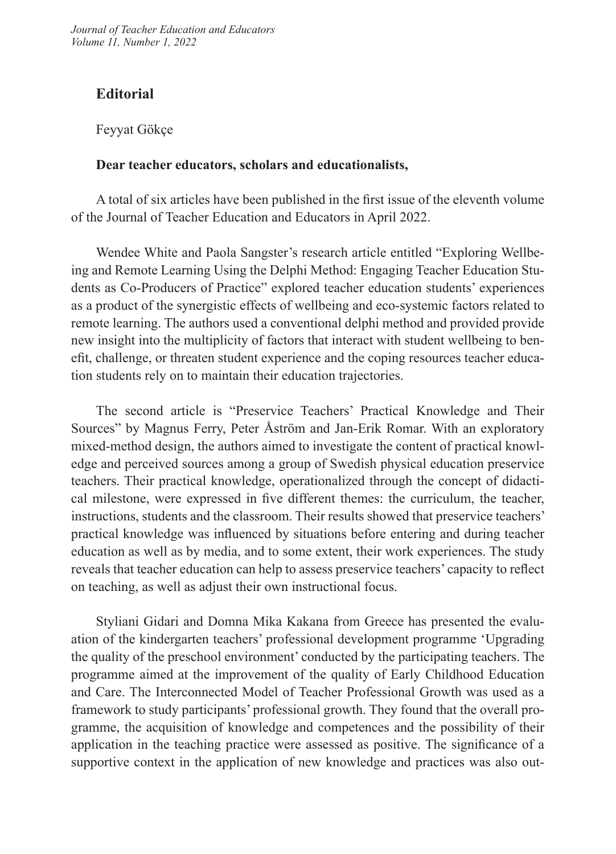*Journal of Teacher Education and Educators Volume 11, Number 1, 2022*

## **Editorial**

Feyyat Gökçe

## **Dear teacher educators, scholars and educationalists,**

A total of six articles have been published in the first issue of the eleventh volume of the Journal of Teacher Education and Educators in April 2022.

Wendee White and Paola Sangster's research article entitled "Exploring Wellbeing and Remote Learning Using the Delphi Method: Engaging Teacher Education Students as Co-Producers of Practice" explored teacher education students' experiences as a product of the synergistic effects of wellbeing and eco-systemic factors related to remote learning. The authors used a conventional delphi method and provided provide new insight into the multiplicity of factors that interact with student wellbeing to benefit, challenge, or threaten student experience and the coping resources teacher education students rely on to maintain their education trajectories.

The second article is "Preservice Teachers' Practical Knowledge and Their Sources" by Magnus Ferry, Peter Åström and Jan-Erik Romar. With an exploratory mixed-method design, the authors aimed to investigate the content of practical knowledge and perceived sources among a group of Swedish physical education preservice teachers. Their practical knowledge, operationalized through the concept of didactical milestone, were expressed in five different themes: the curriculum, the teacher, instructions, students and the classroom. Their results showed that preservice teachers' practical knowledge was influenced by situations before entering and during teacher education as well as by media, and to some extent, their work experiences. The study reveals that teacher education can help to assess preservice teachers' capacity to reflect on teaching, as well as adjust their own instructional focus.

Styliani Gidari and Domna Mika Kakana from Greece has presented the evaluation of the kindergarten teachers' professional development programme 'Upgrading the quality of the preschool environment' conducted by the participating teachers. The programme aimed at the improvement of the quality of Early Childhood Education and Care. Τhe Interconnected Model of Teacher Professional Growth was used as a framework to study participants' professional growth. They found that the overall programme, the acquisition of knowledge and competences and the possibility of their application in the teaching practice were assessed as positive. The significance of a supportive context in the application of new knowledge and practices was also out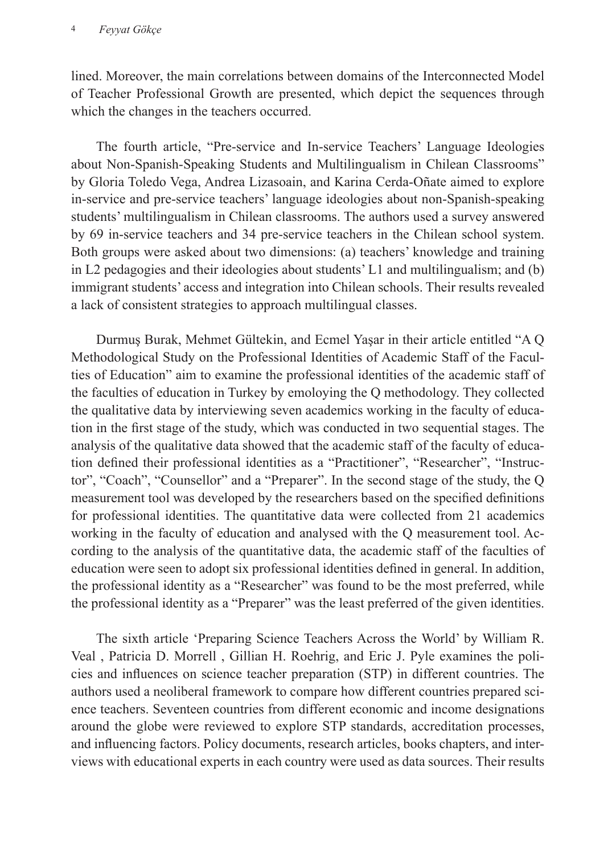lined. Moreover, the main correlations between domains of the Interconnected Model of Teacher Professional Growth are presented, which depict the sequences through which the changes in the teachers occurred.

The fourth article, "Pre-service and In-service Teachers' Language Ideologies about Non-Spanish-Speaking Students and Multilingualism in Chilean Classrooms" by Gloria Toledo Vega, Andrea Lizasoain, and Karina Cerda-Oñate aimed to explore in-service and pre-service teachers' language ideologies about non-Spanish-speaking students' multilingualism in Chilean classrooms. The authors used a survey answered by 69 in-service teachers and 34 pre-service teachers in the Chilean school system. Both groups were asked about two dimensions: (a) teachers' knowledge and training in L2 pedagogies and their ideologies about students' L1 and multilingualism; and (b) immigrant students' access and integration into Chilean schools. Their results revealed a lack of consistent strategies to approach multilingual classes.

Durmuş Burak, Mehmet Gültekin, and Ecmel Yaşar in their article entitled "A Q Methodological Study on the Professional Identities of Academic Staff of the Faculties of Education" aim to examine the professional identities of the academic staff of the faculties of education in Turkey by emoloying the Q methodology. They collected the qualitative data by interviewing seven academics working in the faculty of education in the first stage of the study, which was conducted in two sequential stages. The analysis of the qualitative data showed that the academic staff of the faculty of education defined their professional identities as a "Practitioner", "Researcher", "Instructor", "Coach", "Counsellor" and a "Preparer". In the second stage of the study, the Q measurement tool was developed by the researchers based on the specified definitions for professional identities. The quantitative data were collected from 21 academics working in the faculty of education and analysed with the Q measurement tool. According to the analysis of the quantitative data, the academic staff of the faculties of education were seen to adopt six professional identities defined in general. In addition, the professional identity as a "Researcher" was found to be the most preferred, while the professional identity as a "Preparer" was the least preferred of the given identities.

The sixth article 'Preparing Science Teachers Across the World' by William R. Veal , Patricia D. Morrell , Gillian H. Roehrig, and Eric J. Pyle examines the policies and influences on science teacher preparation (STP) in different countries. The authors used a neoliberal framework to compare how different countries prepared science teachers. Seventeen countries from different economic and income designations around the globe were reviewed to explore STP standards, accreditation processes, and influencing factors. Policy documents, research articles, books chapters, and interviews with educational experts in each country were used as data sources. Their results